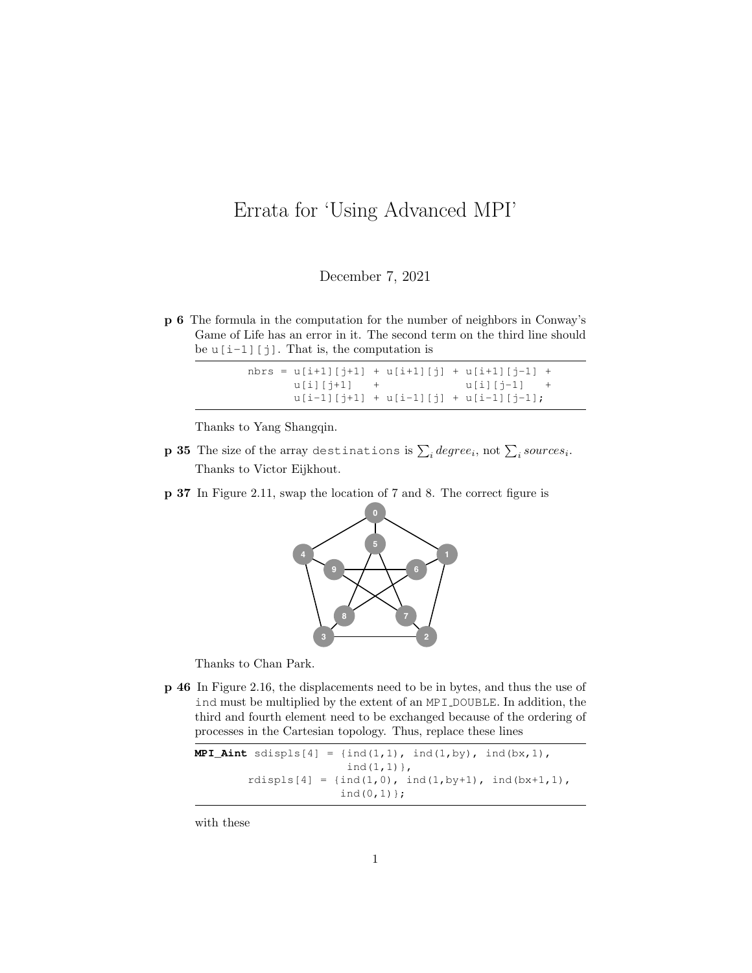## <span id="page-0-0"></span>Errata for 'Using Advanced MPI'

December 7, 2021

**p 6** The formula in the computation for the number of neighbors in Conway's Game of Life has an error in it. The second term on the third line should be  $u[i-1][j]$ . That is, the computation is

|               |  | nbrs = $u[i+1][j+1] + u[i+1][j] + u[i+1][j-1] +$ |  |
|---------------|--|--------------------------------------------------|--|
| $u[i][i+1]$ + |  | $u[i] [j-1]$ +                                   |  |
|               |  | $u[i-1][j+1] + u[i-1][j] + u[i-1][j-1];$         |  |

Thanks to Yang Shangqin.

- **p 35** The size of the array destinations is  $\sum_{i} degree_{i}, \text{not } \sum_{i} source_{i}.$ Thanks to Victor Eijkhout.
- **p 37** In Figure 2.11, swap the location of 7 and 8. The correct figure is



Thanks to Chan Park.

**p 46** In Figure 2.16, the displacements need to be in bytes, and thus the use of ind must be multiplied by the extent of an MPI DOUBLE. In addition, the third and fourth element need to be exchanged because of the ordering of processes in the Cartesian topology. Thus, replace these lines

```
MPI_Aint sdispls[4] = {ind(1,1), ind(1,by), ind(bx,1),
                             ind(1,1)},
          r \text{displs}[4] = \{ \text{ind}(1,0), \text{ind}(1,by+1), \text{ind}(bx+1,1), \}ind(0,1) };
```
with these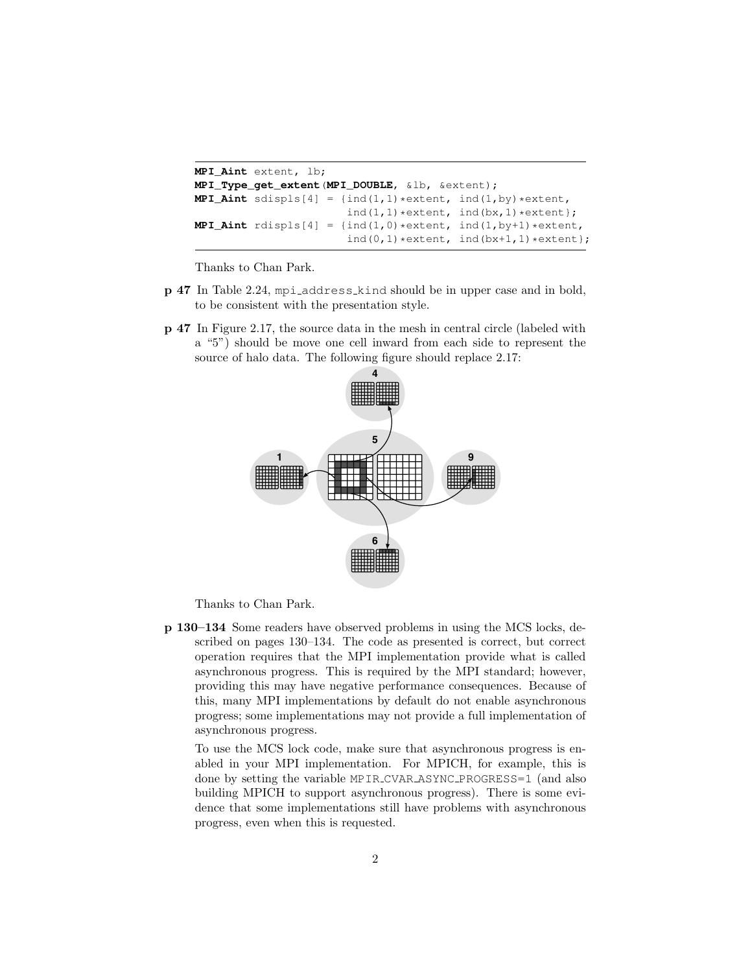```
MPI_Aint extent, lb;
MPI_Type_get_extent(MPI_DOUBLE, &lb, &extent);
MPI_Aint sdispls[4] = \{ind(1,1)*extent, ind(1,by)*extent,ind(1,1)*extent, ind(bx,1)*extent};
MPI_Aint r \text{ displays } [4] = \{\text{ind}(1,0) * \text{extend}, \text{ind}(1,by+1) * \text{extend}, \text{ind}(1,by+1)\}ind(0, 1) *extent, ind(bx+1, 1) *extent};
```
Thanks to Chan Park.

- **p 47** In Table 2.24, mpi address kind should be in upper case and in bold, to be consistent with the presentation style.
- **p 47** In Figure 2.17, the source data in the mesh in central circle (labeled with a "5") should be move one cell inward from each side to represent the source of halo data. The following figure should replace 2.17:



Thanks to Chan Park.

**p 130–134** Some readers have observed problems in using the MCS locks, described on pages 130–134. The code as presented is correct, but correct operation requires that the MPI implementation provide what is called asynchronous progress. This is required by the MPI standard; however, providing this may have negative performance consequences. Because of this, many MPI implementations by default do not enable asynchronous progress; some implementations may not provide a full implementation of asynchronous progress.

To use the MCS lock code, make sure that asynchronous progress is enabled in your MPI implementation. For MPICH, for example, this is done by setting the variable MPIR CVAR ASYNC PROGRESS=1 (and also building MPICH to support asynchronous progress). There is some evidence that some implementations still have problems with asynchronous progress, even when this is requested.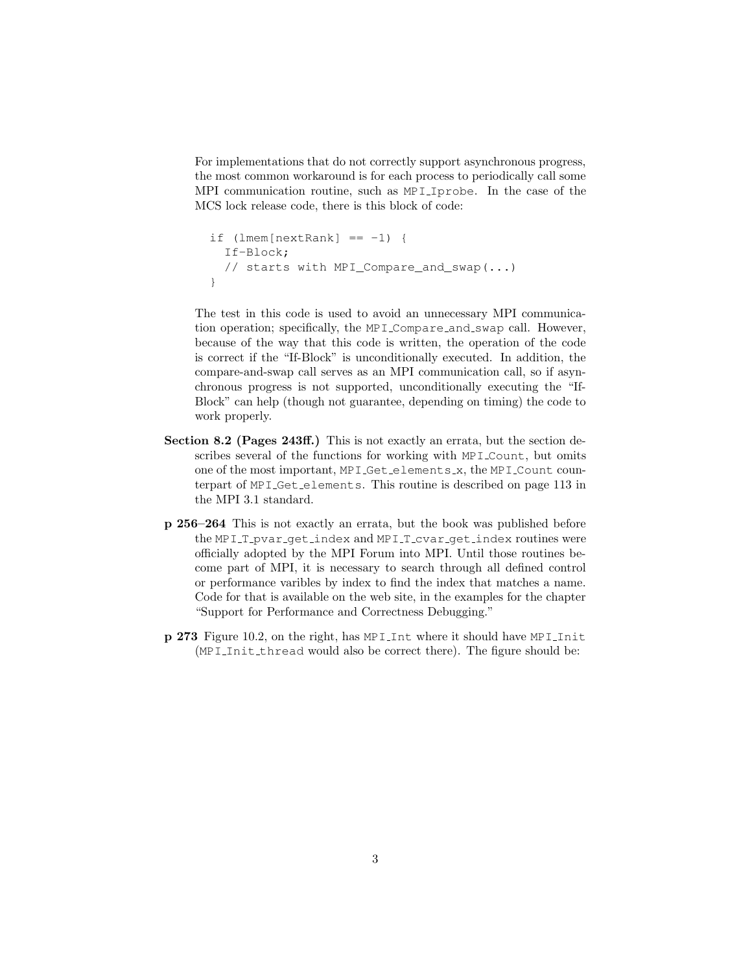For implementations that do not correctly support asynchronous progress, the most common workaround is for each process to periodically call some MPI communication routine, such as MPI Iprobe. In the case of the MCS lock release code, there is this block of code:

```
if (lmem[nextRank] == -1) {
  If-Block;
  // starts with MPI_Compare_and_swap(...)
}
```
The test in this code is used to avoid an unnecessary MPI communication operation; specifically, the MPI Compare and swap call. However, because of the way that this code is written, the operation of the code is correct if the "If-Block" is unconditionally executed. In addition, the compare-and-swap call serves as an MPI communication call, so if asynchronous progress is not supported, unconditionally executing the "If-Block" can help (though not guarantee, depending on timing) the code to work properly.

- **Section 8.2 (Pages 243ff.)** This is not exactly an errata, but the section describes several of the functions for working with MPI Count, but omits one of the most important, MPI Get elements x, the MPI Count counterpart of MPI Get elements. This routine is described on page 113 in the MPI 3.1 standard.
- **p 256–264** This is not exactly an errata, but the book was published before the MPI T pvar get index and MPI T cvar get index routines were officially adopted by the MPI Forum into MPI. Until those routines become part of MPI, it is necessary to search through all defined control or performance varibles by index to find the index that matches a name. Code for that is available on the web site, in the examples for the chapter "Support for Performance and Correctness Debugging."
- **p 273** Figure 10.2, on the right, has MPI Int where it should have MPI Init (MPI Init thread would also be correct there). The figure should be: